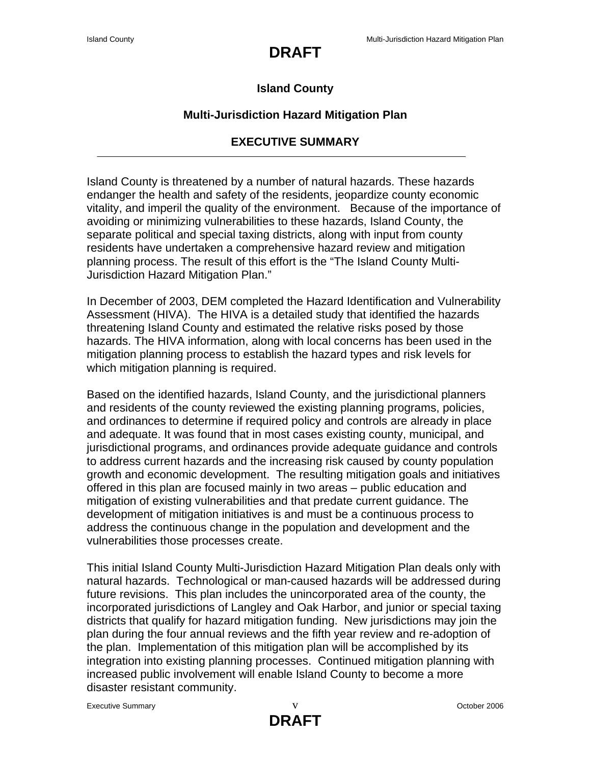# **DRAFT**

#### **Island County**

#### **Multi-Jurisdiction Hazard Mitigation Plan**

### **EXECUTIVE SUMMARY**

Island County is threatened by a number of natural hazards. These hazards endanger the health and safety of the residents, jeopardize county economic vitality, and imperil the quality of the environment. Because of the importance of avoiding or minimizing vulnerabilities to these hazards, Island County, the separate political and special taxing districts, along with input from county residents have undertaken a comprehensive hazard review and mitigation planning process. The result of this effort is the "The Island County Multi-Jurisdiction Hazard Mitigation Plan."

In December of 2003, DEM completed the Hazard Identification and Vulnerability Assessment (HIVA). The HIVA is a detailed study that identified the hazards threatening Island County and estimated the relative risks posed by those hazards. The HIVA information, along with local concerns has been used in the mitigation planning process to establish the hazard types and risk levels for which mitigation planning is required.

Based on the identified hazards, Island County, and the jurisdictional planners and residents of the county reviewed the existing planning programs, policies, and ordinances to determine if required policy and controls are already in place and adequate. It was found that in most cases existing county, municipal, and jurisdictional programs, and ordinances provide adequate guidance and controls to address current hazards and the increasing risk caused by county population growth and economic development. The resulting mitigation goals and initiatives offered in this plan are focused mainly in two areas – public education and mitigation of existing vulnerabilities and that predate current guidance. The development of mitigation initiatives is and must be a continuous process to address the continuous change in the population and development and the vulnerabilities those processes create.

This initial Island County Multi-Jurisdiction Hazard Mitigation Plan deals only with natural hazards. Technological or man-caused hazards will be addressed during future revisions. This plan includes the unincorporated area of the county, the incorporated jurisdictions of Langley and Oak Harbor, and junior or special taxing districts that qualify for hazard mitigation funding. New jurisdictions may join the plan during the four annual reviews and the fifth year review and re-adoption of the plan. Implementation of this mitigation plan will be accomplished by its integration into existing planning processes. Continued mitigation planning with increased public involvement will enable Island County to become a more disaster resistant community.

Executive Summary and the contract of the Contract of Community Corollel and the Contract of Community Corollel and Trustee and Trustee and Trustee and Trustee and Trustee and Trustee and Trustee and Trustee and Trustee an